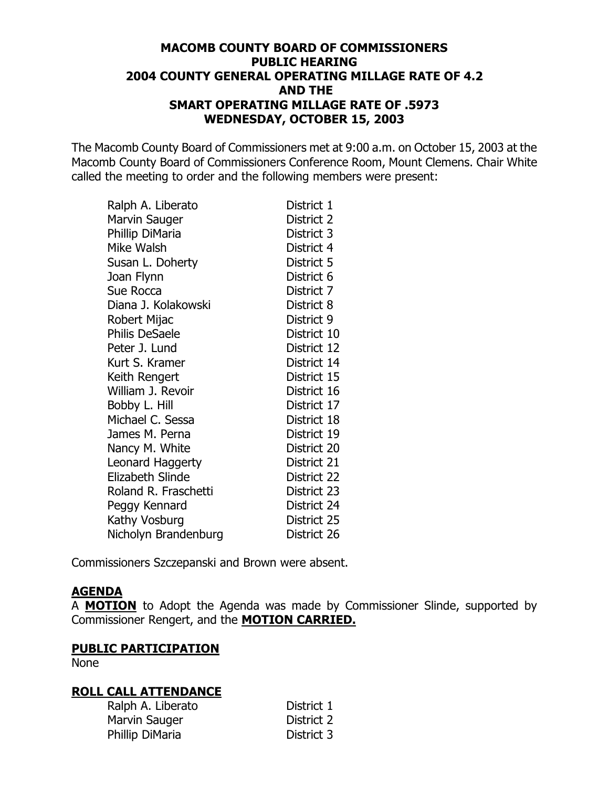### **[MACOMB COUNTY BOARD OF COMMISSIONERS](http://pdf.iteksoft.com/modules.php?op=modload&name=Sections&file=index&req=viewarticle&artid=4) PUBLIC HEARING 2004 COUNTY GENERAL OPERATING MILLAGE RATE OF 4.2 AND THE SMART OPERATING MILLAGE RATE OF .5973 WEDNESDAY, OCTOBER 15, 2003**

The Macomb County Board of Commissioners met at 9:00 a.m. on October 15, 2003 at the Macomb County Board of Commissioners Conference Room, Mount Clemens. Chair White called the meeting to order and the following members were present:

| Ralph A. Liberato     | District 1  |
|-----------------------|-------------|
| Marvin Sauger         | District 2  |
| Phillip DiMaria       | District 3  |
| Mike Walsh            | District 4  |
| Susan L. Doherty      | District 5  |
| Joan Flynn            | District 6  |
| Sue Rocca             | District 7  |
| Diana J. Kolakowski   | District 8  |
| Robert Mijac          | District 9  |
| <b>Philis DeSaele</b> | District 10 |
| Peter J. Lund         | District 12 |
| Kurt S. Kramer        | District 14 |
| Keith Rengert         | District 15 |
| William J. Revoir     | District 16 |
| Bobby L. Hill         | District 17 |
| Michael C. Sessa      | District 18 |
| James M. Perna        | District 19 |
| Nancy M. White        | District 20 |
| Leonard Haggerty      | District 21 |
| Elizabeth Slinde      | District 22 |
| Roland R. Fraschetti  | District 23 |
| Peggy Kennard         | District 24 |
| Kathy Vosburg         | District 25 |
| Nicholyn Brandenburg  | District 26 |

Commissioners Szczepanski and Brown were absent.

#### **AGENDA**

A **MOTION** to Adopt the Agenda was made by Commissioner Slinde, supported by Commissioner Rengert, and the **MOTION CARRIED.**

#### **PUBLIC PARTICIPATION**

None

#### **ROLL CALL ATTENDANCE**

| Ralph A. Liberato | District 1 |
|-------------------|------------|
| Marvin Sauger     | District 2 |
| Phillip DiMaria   | District 3 |